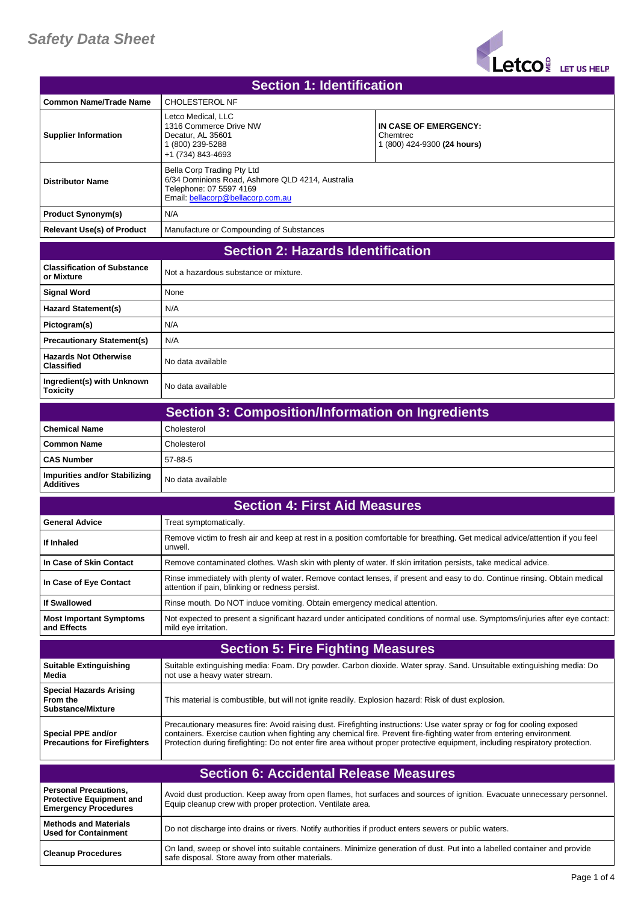## *Safety Data Sheet*



| <b>Section 1: Identification</b>                                                               |                                                                                                                                                |                                                                                                                                                                                                                                                         |
|------------------------------------------------------------------------------------------------|------------------------------------------------------------------------------------------------------------------------------------------------|---------------------------------------------------------------------------------------------------------------------------------------------------------------------------------------------------------------------------------------------------------|
| <b>Common Name/Trade Name</b>                                                                  | <b>CHOLESTEROL NF</b>                                                                                                                          |                                                                                                                                                                                                                                                         |
| <b>Supplier Information</b>                                                                    | Letco Medical. LLC<br>1316 Commerce Drive NW<br>Decatur, AL 35601<br>1 (800) 239-5288<br>+1 (734) 843-4693                                     | IN CASE OF EMERGENCY:<br>Chemtrec<br>1 (800) 424-9300 (24 hours)                                                                                                                                                                                        |
| <b>Distributor Name</b>                                                                        | Bella Corp Trading Pty Ltd<br>6/34 Dominions Road, Ashmore QLD 4214, Australia<br>Telephone: 07 5597 4169<br>Email: bellacorp@bellacorp.com.au |                                                                                                                                                                                                                                                         |
| <b>Product Synonym(s)</b>                                                                      | N/A                                                                                                                                            |                                                                                                                                                                                                                                                         |
| <b>Relevant Use(s) of Product</b>                                                              | Manufacture or Compounding of Substances                                                                                                       |                                                                                                                                                                                                                                                         |
| <b>Section 2: Hazards Identification</b>                                                       |                                                                                                                                                |                                                                                                                                                                                                                                                         |
| <b>Classification of Substance</b><br>or Mixture                                               | Not a hazardous substance or mixture.                                                                                                          |                                                                                                                                                                                                                                                         |
| Signal Word                                                                                    | None                                                                                                                                           |                                                                                                                                                                                                                                                         |
| <b>Hazard Statement(s)</b>                                                                     | N/A                                                                                                                                            |                                                                                                                                                                                                                                                         |
| Pictogram(s)                                                                                   | N/A                                                                                                                                            |                                                                                                                                                                                                                                                         |
| <b>Precautionary Statement(s)</b>                                                              | N/A                                                                                                                                            |                                                                                                                                                                                                                                                         |
| <b>Hazards Not Otherwise</b><br><b>Classified</b>                                              | No data available                                                                                                                              |                                                                                                                                                                                                                                                         |
| Ingredient(s) with Unknown<br><b>Toxicity</b>                                                  | No data available                                                                                                                              |                                                                                                                                                                                                                                                         |
|                                                                                                | <b>Section 3: Composition/Information on Ingredients</b>                                                                                       |                                                                                                                                                                                                                                                         |
| <b>Chemical Name</b>                                                                           | Cholesterol                                                                                                                                    |                                                                                                                                                                                                                                                         |
| <b>Common Name</b>                                                                             | Cholesterol                                                                                                                                    |                                                                                                                                                                                                                                                         |
| <b>CAS Number</b>                                                                              | 57-88-5                                                                                                                                        |                                                                                                                                                                                                                                                         |
| <b>Impurities and/or Stabilizing</b><br><b>Additives</b>                                       | No data available                                                                                                                              |                                                                                                                                                                                                                                                         |
|                                                                                                | <b>Section 4: First Aid Measures</b>                                                                                                           |                                                                                                                                                                                                                                                         |
| <b>General Advice</b>                                                                          | Treat symptomatically.                                                                                                                         |                                                                                                                                                                                                                                                         |
| If Inhaled                                                                                     | unwell.                                                                                                                                        | Remove victim to fresh air and keep at rest in a position comfortable for breathing. Get medical advice/attention if you feel                                                                                                                           |
| In Case of Skin Contact                                                                        | Remove contaminated clothes. Wash skin with plenty of water. If skin irritation persists, take medical advice.                                 |                                                                                                                                                                                                                                                         |
| In Case of Eye Contact                                                                         | attention if pain, blinking or redness persist.                                                                                                | Rinse immediately with plenty of water. Remove contact lenses, if present and easy to do. Continue rinsing. Obtain medical                                                                                                                              |
| <b>If Swallowed</b>                                                                            | Rinse mouth. Do NOT induce vomiting. Obtain emergency medical attention.                                                                       |                                                                                                                                                                                                                                                         |
| <b>Most Important Symptoms</b><br>and Effects                                                  | mild eye irritation.                                                                                                                           | Not expected to present a significant hazard under anticipated conditions of normal use. Symptoms/injuries after eye contact:                                                                                                                           |
|                                                                                                | <b>Section 5: Fire Fighting Measures</b>                                                                                                       |                                                                                                                                                                                                                                                         |
| <b>Suitable Extinguishing</b><br>Media                                                         | not use a heavy water stream.                                                                                                                  | Suitable extinguishing media: Foam. Dry powder. Carbon dioxide. Water spray. Sand. Unsuitable extinguishing media: Do                                                                                                                                   |
| <b>Special Hazards Arising</b><br>From the<br><b>Substance/Mixture</b>                         | This material is combustible, but will not ignite readily. Explosion hazard: Risk of dust explosion.                                           |                                                                                                                                                                                                                                                         |
| Special PPE and/or<br><b>Precautions for Firefighters</b>                                      | containers. Exercise caution when fighting any chemical fire. Prevent fire-fighting water from entering environment.                           | Precautionary measures fire: Avoid raising dust. Firefighting instructions: Use water spray or fog for cooling exposed<br>Protection during firefighting: Do not enter fire area without proper protective equipment, including respiratory protection. |
|                                                                                                | <b>Section 6: Accidental Release Measures</b>                                                                                                  |                                                                                                                                                                                                                                                         |
| <b>Personal Precautions,</b><br><b>Protective Equipment and</b><br><b>Emergency Procedures</b> | Equip cleanup crew with proper protection. Ventilate area.                                                                                     | Avoid dust production. Keep away from open flames, hot surfaces and sources of ignition. Evacuate unnecessary personnel.                                                                                                                                |
| <b>Methods and Materials</b><br><b>Used for Containment</b>                                    | Do not discharge into drains or rivers. Notify authorities if product enters sewers or public waters.                                          |                                                                                                                                                                                                                                                         |
| <b>Cleanup Procedures</b>                                                                      | safe disposal. Store away from other materials.                                                                                                | On land, sweep or shovel into suitable containers. Minimize generation of dust. Put into a labelled container and provide                                                                                                                               |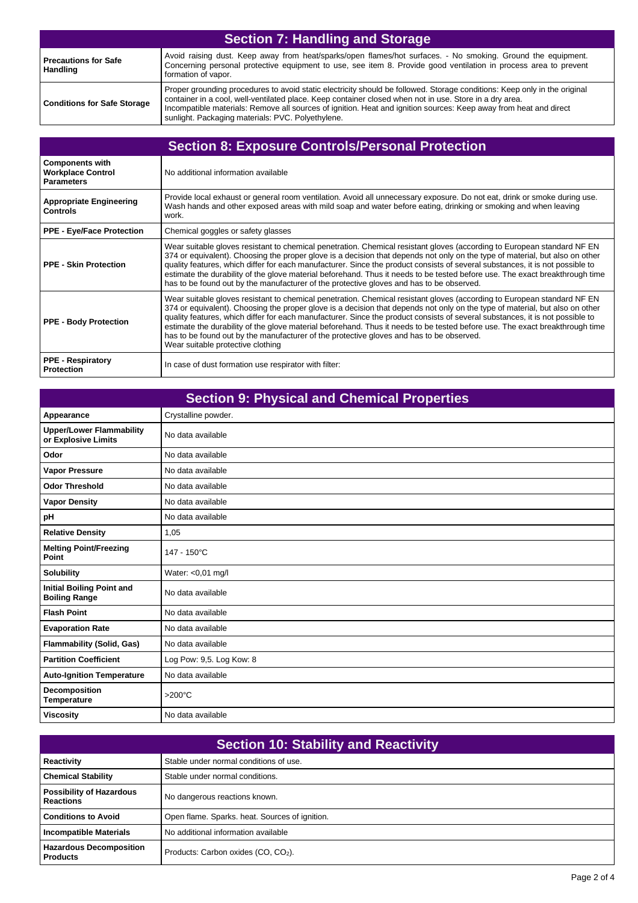| <b>Section 7: Handling and Storage</b>         |                                                                                                                                                                                                                                                                                                                                                                                                                |
|------------------------------------------------|----------------------------------------------------------------------------------------------------------------------------------------------------------------------------------------------------------------------------------------------------------------------------------------------------------------------------------------------------------------------------------------------------------------|
| <b>Precautions for Safe</b><br><b>Handling</b> | Avoid raising dust. Keep away from heat/sparks/open flames/hot surfaces. - No smoking. Ground the equipment.<br>Concerning personal protective equipment to use, see item 8. Provide good ventilation in process area to prevent<br>formation of vapor.                                                                                                                                                        |
| <b>Conditions for Safe Storage</b>             | Proper grounding procedures to avoid static electricity should be followed. Storage conditions: Keep only in the original<br>container in a cool, well-ventilated place. Keep container closed when not in use. Store in a dry area.<br>Incompatible materials: Remove all sources of ignition. Heat and ignition sources: Keep away from heat and direct<br>sunlight. Packaging materials: PVC. Polyethylene. |

| <b>Section 8: Exposure Controls/Personal Protection</b>                 |                                                                                                                                                                                                                                                                                                                                                                                                                                                                                                                                                                                                                                                           |
|-------------------------------------------------------------------------|-----------------------------------------------------------------------------------------------------------------------------------------------------------------------------------------------------------------------------------------------------------------------------------------------------------------------------------------------------------------------------------------------------------------------------------------------------------------------------------------------------------------------------------------------------------------------------------------------------------------------------------------------------------|
| <b>Components with</b><br><b>Workplace Control</b><br><b>Parameters</b> | No additional information available                                                                                                                                                                                                                                                                                                                                                                                                                                                                                                                                                                                                                       |
| <b>Appropriate Engineering</b><br><b>Controls</b>                       | Provide local exhaust or general room ventilation. Avoid all unnecessary exposure. Do not eat, drink or smoke during use.<br>Wash hands and other exposed areas with mild soap and water before eating, drinking or smoking and when leaving<br>work.                                                                                                                                                                                                                                                                                                                                                                                                     |
| <b>PPE - Eye/Face Protection</b>                                        | Chemical goggles or safety glasses                                                                                                                                                                                                                                                                                                                                                                                                                                                                                                                                                                                                                        |
| <b>PPE - Skin Protection</b>                                            | Wear suitable gloves resistant to chemical penetration. Chemical resistant gloves (according to European standard NF EN<br>374 or equivalent). Choosing the proper glove is a decision that depends not only on the type of material, but also on other<br>quality features, which differ for each manufacturer. Since the product consists of several substances, it is not possible to<br>estimate the durability of the glove material beforehand. Thus it needs to be tested before use. The exact breakthrough time<br>has to be found out by the manufacturer of the protective gloves and has to be observed.                                      |
| <b>PPE - Body Protection</b>                                            | Wear suitable gloves resistant to chemical penetration. Chemical resistant gloves (according to European standard NF EN<br>374 or equivalent). Choosing the proper glove is a decision that depends not only on the type of material, but also on other<br>quality features, which differ for each manufacturer. Since the product consists of several substances, it is not possible to<br>estimate the durability of the glove material beforehand. Thus it needs to be tested before use. The exact breakthrough time<br>has to be found out by the manufacturer of the protective gloves and has to be observed.<br>Wear suitable protective clothing |
| <b>PPE - Respiratory</b><br><b>Protection</b>                           | In case of dust formation use respirator with filter:                                                                                                                                                                                                                                                                                                                                                                                                                                                                                                                                                                                                     |

| <b>Section 9: Physical and Chemical Properties</b>       |                          |
|----------------------------------------------------------|--------------------------|
| Appearance                                               | Crystalline powder.      |
| <b>Upper/Lower Flammability</b><br>or Explosive Limits   | No data available        |
| Odor                                                     | No data available        |
| <b>Vapor Pressure</b>                                    | No data available        |
| <b>Odor Threshold</b>                                    | No data available        |
| <b>Vapor Density</b>                                     | No data available        |
| pH                                                       | No data available        |
| <b>Relative Density</b>                                  | 1,05                     |
| <b>Melting Point/Freezing</b><br>Point                   | 147 - 150°C              |
| <b>Solubility</b>                                        | Water: <0,01 mg/l        |
| <b>Initial Boiling Point and</b><br><b>Boiling Range</b> | No data available        |
| <b>Flash Point</b>                                       | No data available        |
| <b>Evaporation Rate</b>                                  | No data available        |
| <b>Flammability (Solid, Gas)</b>                         | No data available        |
| <b>Partition Coefficient</b>                             | Log Pow: 9,5. Log Kow: 8 |
| <b>Auto-Ignition Temperature</b>                         | No data available        |
| Decomposition<br><b>Temperature</b>                      | >200°C                   |
| <b>Viscosity</b>                                         | No data available        |

| <b>Section 10: Stability and Reactivity</b>         |                                                 |
|-----------------------------------------------------|-------------------------------------------------|
| <b>Reactivity</b>                                   | Stable under normal conditions of use.          |
| <b>Chemical Stability</b>                           | Stable under normal conditions.                 |
| <b>Possibility of Hazardous</b><br><b>Reactions</b> | No dangerous reactions known.                   |
| <b>Conditions to Avoid</b>                          | Open flame. Sparks. heat. Sources of ignition.  |
| <b>Incompatible Materials</b>                       | No additional information available             |
| <b>Hazardous Decomposition</b><br><b>Products</b>   | Products: Carbon oxides (CO, CO <sub>2</sub> ). |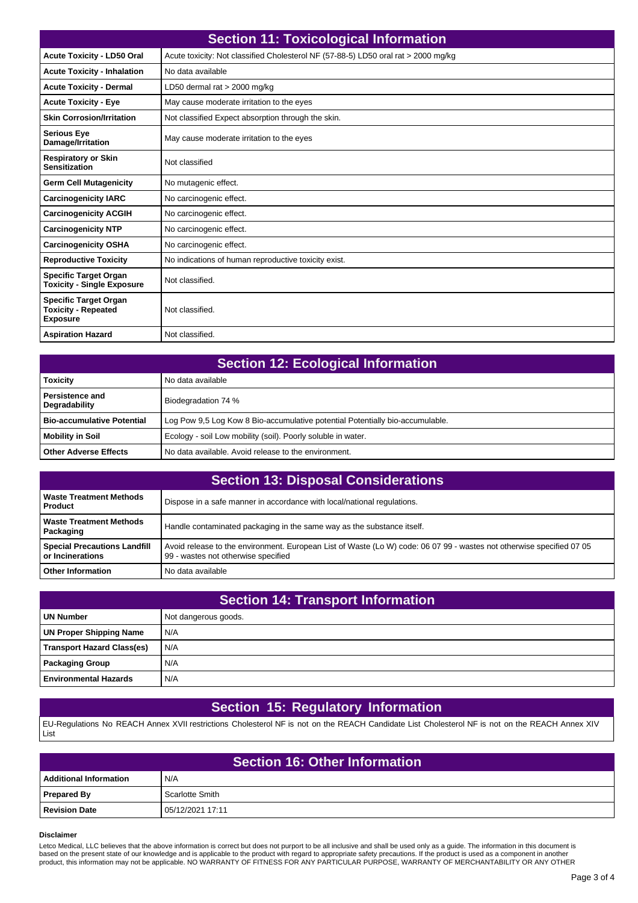| <b>Section 11: Toxicological Information</b>                                  |                                                                                    |
|-------------------------------------------------------------------------------|------------------------------------------------------------------------------------|
| <b>Acute Toxicity - LD50 Oral</b>                                             | Acute toxicity: Not classified Cholesterol NF (57-88-5) LD50 oral rat > 2000 mg/kg |
| <b>Acute Toxicity - Inhalation</b>                                            | No data available                                                                  |
| <b>Acute Toxicity - Dermal</b>                                                | LD50 dermal rat $>$ 2000 mg/kg                                                     |
| <b>Acute Toxicity - Eye</b>                                                   | May cause moderate irritation to the eyes                                          |
| <b>Skin Corrosion/Irritation</b>                                              | Not classified Expect absorption through the skin.                                 |
| <b>Serious Eye</b><br>Damage/Irritation                                       | May cause moderate irritation to the eyes                                          |
| <b>Respiratory or Skin</b><br><b>Sensitization</b>                            | Not classified                                                                     |
| <b>Germ Cell Mutagenicity</b>                                                 | No mutagenic effect.                                                               |
| <b>Carcinogenicity IARC</b>                                                   | No carcinogenic effect.                                                            |
| <b>Carcinogenicity ACGIH</b>                                                  | No carcinogenic effect.                                                            |
| <b>Carcinogenicity NTP</b>                                                    | No carcinogenic effect.                                                            |
| <b>Carcinogenicity OSHA</b>                                                   | No carcinogenic effect.                                                            |
| <b>Reproductive Toxicity</b>                                                  | No indications of human reproductive toxicity exist.                               |
| <b>Specific Target Organ</b><br><b>Toxicity - Single Exposure</b>             | Not classified.                                                                    |
| <b>Specific Target Organ</b><br><b>Toxicity - Repeated</b><br><b>Exposure</b> | Not classified.                                                                    |
| <b>Aspiration Hazard</b>                                                      | Not classified.                                                                    |

| <b>Section 12: Ecological Information</b> |                                                                               |
|-------------------------------------------|-------------------------------------------------------------------------------|
| <b>Toxicity</b>                           | No data available                                                             |
| <b>Persistence and</b><br>Degradability   | Biodegradation 74 %                                                           |
| <b>Bio-accumulative Potential</b>         | Log Pow 9,5 Log Kow 8 Bio-accumulative potential Potentially bio-accumulable. |
| Mobility in Soil                          | Ecology - soil Low mobility (soil). Poorly soluble in water.                  |
| <b>Other Adverse Effects</b>              | No data available. Avoid release to the environment.                          |

| <b>Section 13: Disposal Considerations</b>              |                                                                                                                                                              |
|---------------------------------------------------------|--------------------------------------------------------------------------------------------------------------------------------------------------------------|
| Waste Treatment Methods<br><b>Product</b>               | Dispose in a safe manner in accordance with local/national regulations.                                                                                      |
| Waste Treatment Methods<br>  Packaging                  | Handle contaminated packaging in the same way as the substance itself.                                                                                       |
| <b>Special Precautions Landfill</b><br>or Incinerations | Avoid release to the environment. European List of Waste (Lo W) code: 06 07 99 - wastes not otherwise specified 07 05<br>99 - wastes not otherwise specified |
| <b>Other Information</b>                                | No data available                                                                                                                                            |

| <b>Section 14: Transport Information</b> |                      |
|------------------------------------------|----------------------|
| <b>UN Number</b>                         | Not dangerous goods. |
| <b>UN Proper Shipping Name</b>           | N/A                  |
| <b>Transport Hazard Class(es)</b>        | N/A                  |
| <b>Packaging Group</b>                   | N/A                  |
| <b>Environmental Hazards</b>             | N/A                  |

## **Section 15: Regulatory Information**

EU-Regulations No REACH Annex XVII restrictions Cholesterol NF is not on the REACH Candidate List Cholesterol NF is not on the REACH Annex XIV List

| <b>Section 16: Other Information</b> |                  |  |
|--------------------------------------|------------------|--|
| Additional Information               | N/A              |  |
| <b>Prepared By</b>                   | Scarlotte Smith  |  |
| <b>Revision Date</b>                 | 05/12/2021 17:11 |  |

## **Disclaimer**

Letco Medical, LLC believes that the above information is correct but does not purport to be all inclusive and shall be used only as a guide. The information in this document is<br>based on the present state of our knowledge